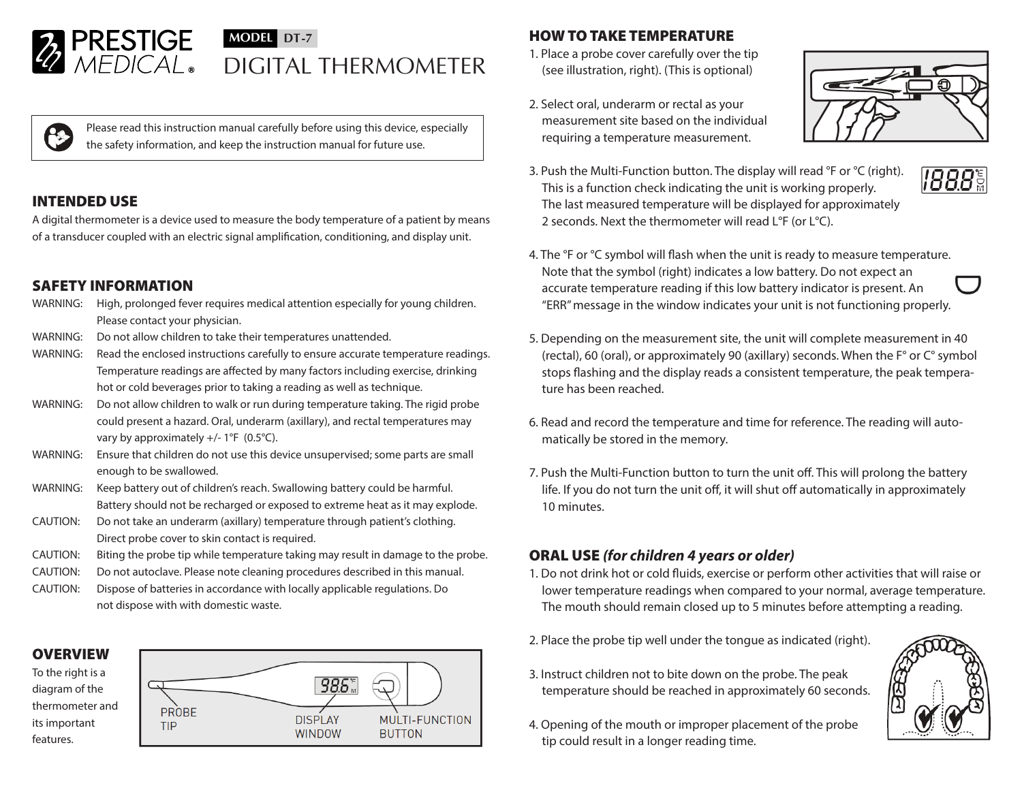

# **MODEL DT-7** DIGITAL THERMOMETER

Please read this instruction manual carefully before using this device, especially the safety information, and keep the instruction manual for future use.

## INTENDED USE

A digital thermometer is a device used to measure the body temperature of a patient by means of a transducer coupled with an electric signal amplification, conditioning, and display unit.

## SAFETY INFORMATION

- WARNING: High, prolonged fever requires medical attention especially for young children. Please contact your physician.
- WARNING: Do not allow children to take their temperatures unattended.
- WARNING: Read the enclosed instructions carefully to ensure accurate temperature readings. Temperature readings are affected by many factors including exercise, drinking hot or cold beverages prior to taking a reading as well as technique.
- WARNING: Do not allow children to walk or run during temperature taking. The rigid probe could present a hazard. Oral, underarm (axillary), and rectal temperatures may vary by approximately  $+/- 1$ °F (0.5°C).
- WARNING: Ensure that children do not use this device unsupervised; some parts are small enough to be swallowed.
- WARNING: Keep battery out of children's reach. Swallowing battery could be harmful. Battery should not be recharged or exposed to extreme heat as it may explode.
- CAUTION: Do not take an underarm (axillary) temperature through patient's clothing. Direct probe cover to skin contact is required.
- CAUTION: Biting the probe tip while temperature taking may result in damage to the probe.
- CAUTION: Do not autoclave. Please note cleaning procedures described in this manual.
- CAUTION: Dispose of batteries in accordance with locally applicable regulations. Do not dispose with with domestic waste.

#### **OVERVIEW**

To the right is a diagram of the thermometer and its important features.



# HOW TO TAKE TEMPERATURE

- 1. Place a probe cover carefully over the tip (see illustration, right). (This is optional)
- 2. Select oral, underarm or rectal as your measurement site based on the individual requiring a temperature measurement.



**188.8** 

- 3. Push the Multi-Function button. The display will read °F or °C (right). This is a function check indicating the unit is working properly. The last measured temperature will be displayed for approximately 2 seconds. Next the thermometer will read L°F (or L°C).
- 4. The °F or °C symbol will flash when the unit is ready to measure temperature. Note that the symbol (right) indicates a low battery. Do not expect an accurate temperature reading if this low battery indicator is present. An "ERR" message in the window indicates your unit is not functioning properly.
- 5. Depending on the measurement site, the unit will complete measurement in 40 (rectal), 60 (oral), or approximately 90 (axillary) seconds. When the F° or C° symbol stops flashing and the display reads a consistent temperature, the peak temperature has been reached.
- 6. Read and record the temperature and time for reference. The reading will automatically be stored in the memory.
- 7. Push the Multi-Function button to turn the unit off. This will prolong the battery life. If you do not turn the unit off, it will shut off automatically in approximately 10 minutes.

# ORAL USE *(for children 4 years or older)*

- 1. Do not drink hot or cold fluids, exercise or perform other activities that will raise or lower temperature readings when compared to your normal, average temperature. The mouth should remain closed up to 5 minutes before attempting a reading.
- 2. Place the probe tip well under the tongue as indicated (right).
- 3. Instruct children not to bite down on the probe. The peak temperature should be reached in approximately 60 seconds.
- 4. Opening of the mouth or improper placement of the probe tip could result in a longer reading time.